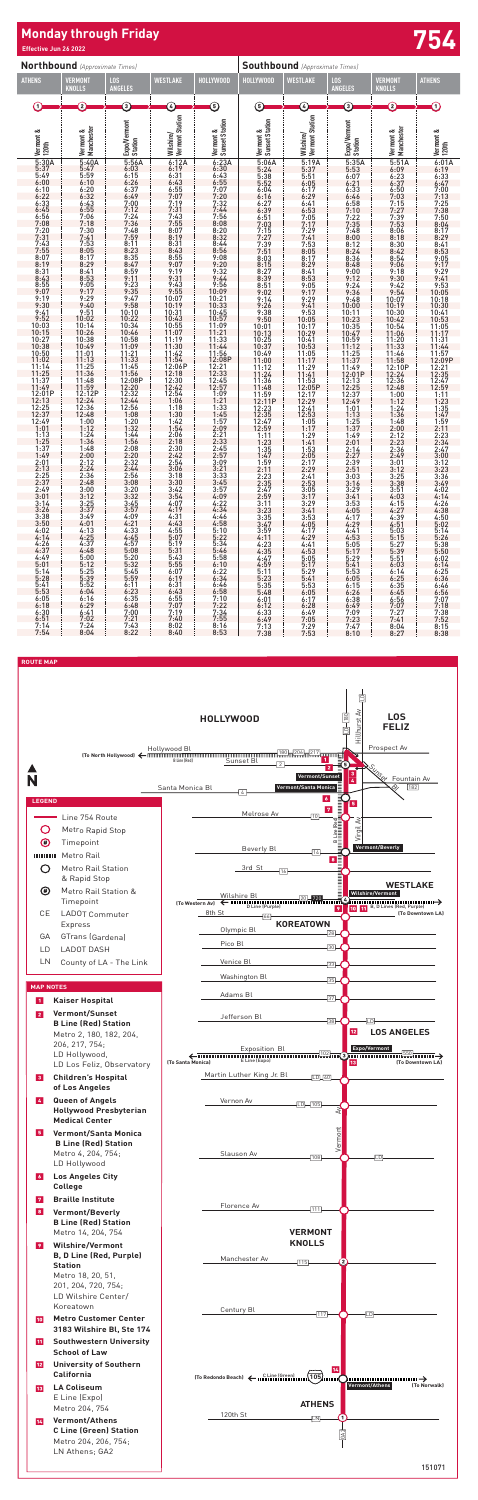# **Monday through Friday Effective Jun 26 2022 754**

**Northbound** *(Approximate Times)*

| <b>ATHENS</b>              | VERMON <mark>1</mark><br>KNOLLS      | 1.OS<br><b>ANGELES</b>  | WESTLAKE                                                                                  | HOLLYWOOD                   | HOLLY <u>WOOD</u>           | WESTLAKE                     | <u>LOS</u><br><b>ANGELES</b>                | VERMONT<br>KNOLLS                                                                                                                                                                                                                       | <b>ATHENS</b>                                                                |
|----------------------------|--------------------------------------|-------------------------|-------------------------------------------------------------------------------------------|-----------------------------|-----------------------------|------------------------------|---------------------------------------------|-----------------------------------------------------------------------------------------------------------------------------------------------------------------------------------------------------------------------------------------|------------------------------------------------------------------------------|
|                            | Q                                    | ➀                       | Ø                                                                                         | ⑤ しゅうしょう                    | 6                           | C                            | $\odot$                                     | C                                                                                                                                                                                                                                       | $\left( 1\right)$                                                            |
|                            | Manchester<br>Vermont &              | Expo/Vermont<br>Station | Wilshire/<br>  Vermont Station                                                            | Vermont &<br>Sunset Station | Vermont &<br>Sunset Station | Wilshire/<br>Vermont Station | Expo/Vermont<br>Station                     | Manchester<br>ತ ಕರ್ತಾ ರಾಂತಿ 2.3:50,000 ರಾಂತಿ 2.9:50 ರಾಂತಿ 2.4:50 ರಾಂತಿ 2.4:50,000 ರಾಂತಿ 4.50,000 ರಾಂತಿ 4.50,000 ರಾಂತಿ 4.50,000 ರಾಂತಿ 4.50,000 ರಾಂತಿ 4.50,000 ರಾಂತಿ 4.50,000 ರಾಂತಿ 4.50,000 ರಾಂತಿ 4.50,000 ರಾಂತಿ 4.50,000 ರಾಂತಿ 4.50,000 | Vermont &<br>120th                                                           |
|                            |                                      |                         | $-6.12A$<br>$6.12A$<br>$6.31$<br>$6.43$<br>$6.43$<br>$6.55$<br>$7.07$<br>$7.31$           |                             |                             |                              |                                             |                                                                                                                                                                                                                                         |                                                                              |
|                            |                                      |                         |                                                                                           |                             |                             |                              |                                             |                                                                                                                                                                                                                                         |                                                                              |
|                            |                                      |                         |                                                                                           |                             |                             |                              |                                             |                                                                                                                                                                                                                                         |                                                                              |
|                            |                                      |                         |                                                                                           |                             |                             |                              |                                             |                                                                                                                                                                                                                                         |                                                                              |
|                            |                                      |                         |                                                                                           |                             |                             |                              |                                             |                                                                                                                                                                                                                                         |                                                                              |
|                            |                                      |                         |                                                                                           |                             |                             |                              |                                             |                                                                                                                                                                                                                                         |                                                                              |
|                            |                                      |                         |                                                                                           |                             |                             |                              |                                             |                                                                                                                                                                                                                                         |                                                                              |
|                            |                                      |                         |                                                                                           |                             |                             |                              |                                             |                                                                                                                                                                                                                                         |                                                                              |
|                            |                                      |                         |                                                                                           |                             |                             |                              |                                             |                                                                                                                                                                                                                                         |                                                                              |
|                            |                                      |                         |                                                                                           |                             |                             |                              |                                             |                                                                                                                                                                                                                                         |                                                                              |
|                            |                                      |                         |                                                                                           |                             |                             |                              |                                             |                                                                                                                                                                                                                                         |                                                                              |
|                            |                                      |                         |                                                                                           |                             |                             |                              |                                             |                                                                                                                                                                                                                                         |                                                                              |
|                            |                                      |                         |                                                                                           |                             |                             |                              |                                             |                                                                                                                                                                                                                                         |                                                                              |
|                            |                                      |                         |                                                                                           |                             |                             |                              |                                             |                                                                                                                                                                                                                                         |                                                                              |
|                            |                                      |                         |                                                                                           |                             |                             |                              |                                             |                                                                                                                                                                                                                                         |                                                                              |
|                            |                                      |                         |                                                                                           |                             |                             |                              |                                             |                                                                                                                                                                                                                                         |                                                                              |
|                            |                                      |                         |                                                                                           |                             |                             |                              |                                             |                                                                                                                                                                                                                                         |                                                                              |
|                            |                                      |                         |                                                                                           |                             |                             |                              |                                             |                                                                                                                                                                                                                                         |                                                                              |
|                            |                                      |                         |                                                                                           |                             |                             |                              |                                             |                                                                                                                                                                                                                                         |                                                                              |
|                            |                                      |                         |                                                                                           |                             |                             |                              |                                             |                                                                                                                                                                                                                                         |                                                                              |
|                            |                                      |                         |                                                                                           |                             |                             |                              |                                             |                                                                                                                                                                                                                                         |                                                                              |
|                            |                                      |                         |                                                                                           |                             |                             |                              |                                             |                                                                                                                                                                                                                                         |                                                                              |
|                            |                                      |                         |                                                                                           |                             |                             |                              |                                             |                                                                                                                                                                                                                                         | $1:23$<br>$1:35$<br>$1:47$<br>$1:59$<br>$2:11$                               |
|                            |                                      |                         | $1:18$<br>$1:30$<br>$1:42$<br>$1:54$                                                      |                             |                             |                              |                                             |                                                                                                                                                                                                                                         |                                                                              |
|                            |                                      |                         |                                                                                           |                             |                             |                              |                                             |                                                                                                                                                                                                                                         |                                                                              |
|                            |                                      |                         |                                                                                           |                             |                             |                              |                                             |                                                                                                                                                                                                                                         |                                                                              |
|                            |                                      |                         |                                                                                           |                             |                             |                              |                                             |                                                                                                                                                                                                                                         |                                                                              |
|                            |                                      |                         |                                                                                           |                             |                             |                              |                                             |                                                                                                                                                                                                                                         |                                                                              |
|                            |                                      |                         |                                                                                           |                             |                             |                              |                                             |                                                                                                                                                                                                                                         |                                                                              |
|                            |                                      |                         | 2:06<br>2:18<br>2:30<br>2:42<br>2:54<br>2:54<br>3:18<br>3:18<br>3:42<br>3:54<br>3:54<br>5 |                             |                             |                              |                                             |                                                                                                                                                                                                                                         | 2:23<br>2:34<br>2:47<br>3:47<br>3:12<br>3:12<br>3:23<br>3:49<br>4:02<br>4:14 |
|                            |                                      |                         |                                                                                           |                             |                             |                              |                                             |                                                                                                                                                                                                                                         |                                                                              |
| 3:14                       |                                      |                         |                                                                                           | 4:22                        | 3:11                        |                              |                                             | 4:15                                                                                                                                                                                                                                    |                                                                              |
| 3:26                       | 3:37<br>3:49                         | 3:57<br>4:09            | 4:19<br>4:31                                                                              | 4:34<br>4:46                | 3:23<br>3:35                | 3:29<br>3:41                 | $\begin{array}{c} 3:53 \\ 4:05 \end{array}$ | 4:27<br>4:39                                                                                                                                                                                                                            | $4:26$<br>$4:38$<br>4:50                                                     |
| $3:38$<br>$3:50$           | 4:01                                 | 4:21                    | 4:43                                                                                      | 4:58                        | 3:47                        | $3:53$<br>4:05               | $4:17$<br>$4:29$                            | 4:51                                                                                                                                                                                                                                    | 5:02                                                                         |
| $4:02$<br>$4:14$<br>$4:26$ |                                      | 4:33<br>4:45            | 4:55<br>5:07                                                                              | 5:10<br>5:22                | $3:59$<br>4:11              | $4:17$<br>$4:29$<br>$4:41$   | $4:41$<br>$4:53$                            | 5:03<br>5:15                                                                                                                                                                                                                            | 5:14                                                                         |
| 4:37                       | $4:13$<br>$4:25$<br>$4:37$<br>$4:48$ | 4:57<br>5:08            | 5:19<br>5:31                                                                              | 5:34<br>5:46                | $4:23$<br>$4:35$            | 4:53                         | 5:05                                        | 5:27<br>5:39                                                                                                                                                                                                                            | 5:26<br>5:38<br>5:50                                                         |
| $4:49$<br>5:01             |                                      | 5:20                    | 5:43                                                                                      | 5:58                        | 4:47                        | $5:05$<br>$5:17$             |                                             | 5:51                                                                                                                                                                                                                                    | 6:02                                                                         |
|                            | $5:00$<br>$5:12$<br>$5:25$<br>$5:39$ | $5:32$<br>$5:45$        | 5:55<br>6:07                                                                              | 6:10<br>6:22                | 4:59                        |                              | 5:17<br>5:29<br>5:41<br>5:53<br>6:05        | 6:03<br>6:14                                                                                                                                                                                                                            | 6:14<br>6:25                                                                 |
| $\frac{5:14}{5:28}$        |                                      | 5:59                    | 6:19                                                                                      | 6:34                        | $5:11$<br>$5:23$<br>$5:35$  | $5:29$<br>$5:41$             |                                             | 6:25                                                                                                                                                                                                                                    | 6:36                                                                         |
| $5:41$<br>$5:53$           | 5:52<br>6:04                         | 6:11<br>6:23            | 6:31<br>6:43                                                                              | 6:46<br>6:58                | 5:48                        | 5:53<br>6:05                 | 6:15<br>6:26                                | 6:35<br>6:45                                                                                                                                                                                                                            | 6:46                                                                         |
| $6:05$<br>$6:18$           | $6:16$<br>$6:29$                     | 6:35                    | $6:55$<br>$7:07$                                                                          | $7:10$<br>$7:22$            | 6:01                        | 6:17                         | 6:38                                        | 6:56                                                                                                                                                                                                                                    | $6:56$<br>7:07<br>7:18                                                       |
| 6:30                       | 6:41                                 | 6:48<br>7:00            | 7:19                                                                                      | 7:34                        | 6:12<br>6:33                | 6:28<br>6:49                 | 6:49                                        | 7:07                                                                                                                                                                                                                                    |                                                                              |
| 6:51<br>7.14               | 7:02<br>7.24                         | 7:21<br>7.43            | 7:40<br>8.02                                                                              | 7:55<br>8.16                | 6:49<br>7.13                | 7:05<br>7.29                 | $7:09$<br>$7:23$<br>7.17                    | $7:27$<br>$7:41$<br>8.01                                                                                                                                                                                                                | $7:38$<br>$7:52$<br>8.15                                                     |
|                            |                                      |                         |                                                                                           |                             |                             |                              |                                             |                                                                                                                                                                                                                                         |                                                                              |



# **Southbound** *(Approximate Times)* **HOLLYWOOD WESTLAKE LOS**  5 5